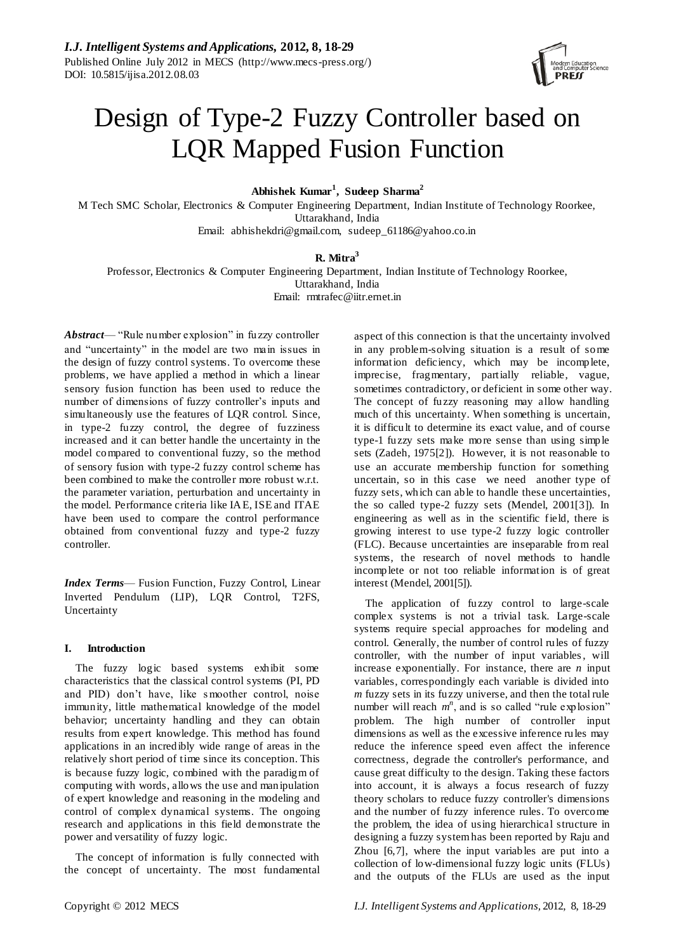

# Design of Type-2 Fuzzy Controller based on LQR Mapped Fusion Function

**Abhishek Kumar<sup>1</sup> , Sudeep Sharma<sup>2</sup>**

M Tech SMC Scholar, Electronics & Computer Engineering Department, Indian Institute of Technology Roorkee, Uttarakhand, India

Email: abhishekdri@gmail.com, sudeep\_61186@yahoo.co.in

# **R. Mitra<sup>3</sup>**

Professor, Electronics & Computer Engineering Department, Indian Institute of Technology Roorkee,

Uttarakhand, India

Email: rmtrafec@iitr.ernet.in

*Abstract*— "Rule number explosion" in fuzzy controller and "uncertainty" in the model are two main issues in the design of fuzzy control systems. To overcome these problems, we have applied a method in which a linear sensory fusion function has been used to reduce the number of dimensions of fuzzy controller's inputs and simultaneously use the features of LQR control. Since, in type-2 fuzzy control, the degree of fuzziness increased and it can better handle the uncertainty in the model compared to conventional fuzzy, so the method of sensory fusion with type-2 fuzzy control scheme has been combined to make the controller more robust w.r.t. the parameter variation, perturbation and uncertainty in the model. Performance criteria like IAE, ISE and ITAE have been used to compare the control performance obtained from conventional fuzzy and type-2 fuzzy controller.

*Index Terms*— Fusion Function, Fuzzy Control, Linear Inverted Pendulum (LIP), LQR Control, T2FS, Uncertainty

# **I. Introduction**

The fuzzy logic based systems exhibit some characteristics that the classical control systems (PI, PD and PID) don't have, like smoother control, noise immunity, little mathematical knowledge of the model behavior; uncertainty handling and they can obtain results from expert knowledge. This method has found applications in an incredibly wide range of areas in the relatively short period of time since its conception. This is because fuzzy logic, combined with the paradigm of computing with words, allows the use and manipulation of expert knowledge and reasoning in the modeling and control of complex dynamical systems. The ongoing research and applications in this field demonstrate the power and versatility of fuzzy logic.

The concept of information is fully connected with the concept of uncertainty. The most fundamental aspect of this connection is that the uncertainty involved in any problem-solving situation is a result of some information deficiency, which may be incomplete, imprecise, fragmentary, partially reliable, vague, sometimes contradictory, or deficient in some other way. The concept of fuzzy reasoning may allow handling much of this uncertainty. When something is uncertain, it is difficult to determine its exact value, and of course type-1 fuzzy sets make more sense than using simple sets (Zadeh, 1975[2]). However, it is not reasonable to use an accurate membership function for something uncertain, so in this case we need another type of fuzzy sets, which can able to handle these uncertainties, the so called type-2 fuzzy sets (Mendel, 2001[3]). In engineering as well as in the scientific field, there is growing interest to use type-2 fuzzy logic controller (FLC). Because uncertainties are inseparable from real systems, the research of novel methods to handle incomplete or not too reliable information is of great interest (Mendel, 2001[5]).

The application of fuzzy control to large-scale complex systems is not a trivial task. Large-scale systems require special approaches for modeling and control. Generally, the number of control rules of fuzzy controller, with the number of input variables, will increase exponentially. For instance, there are *n* input variables, correspondingly each variable is divided into *m* fuzzy sets in its fuzzy universe, and then the total rule number will reach  $m^n$ , and is so called "rule explosion" problem. The high number of controller input dimensions as well as the excessive inference rules may reduce the inference speed even affect the inference correctness, degrade the controller's performance, and cause great difficulty to the design. Taking these factors into account, it is always a focus research of fuzzy theory scholars to reduce fuzzy controller's dimensions and the number of fuzzy inference rules. To overcome the problem, the idea of using hierarchical structure in designing a fuzzy system has been reported by Raju and Zhou [6,7], where the input variables are put into a collection of low-dimensional fuzzy logic units (FLUs) and the outputs of the FLUs are used as the input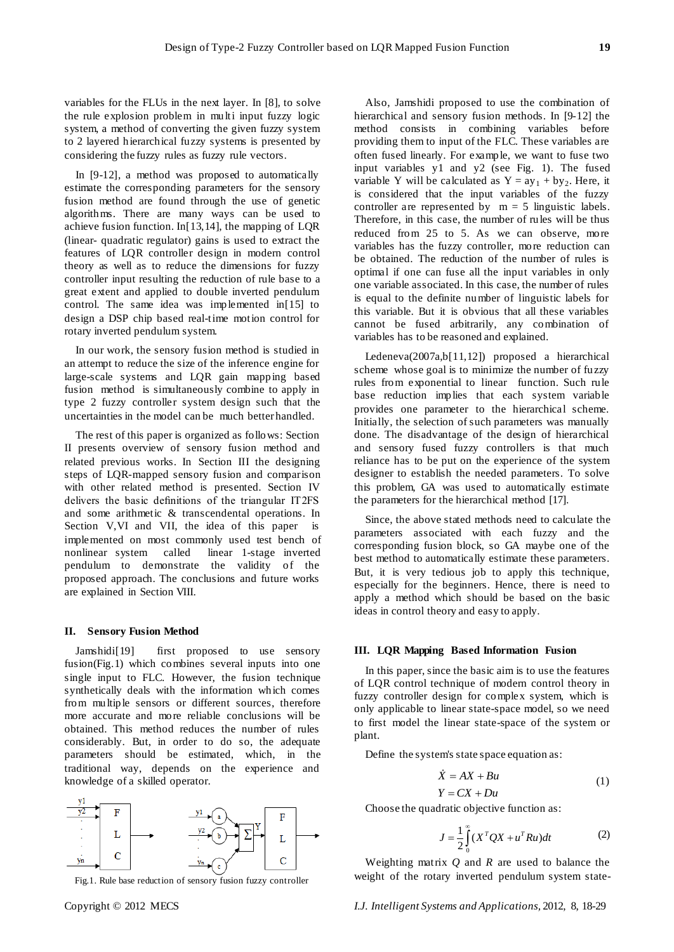variables for the FLUs in the next layer. In [8], to solve the rule explosion problem in multi input fuzzy logic system, a method of converting the given fuzzy system to 2 layered hierarchical fuzzy systems is presented by considering the fuzzy rules as fuzzy rule vectors.

In [9-12], a method was proposed to automatically estimate the corresponding parameters for the sensory fusion method are found through the use of genetic algorithms. There are many ways can be used to achieve fusion function. In[13,14], the mapping of LQR (linear- quadratic regulator) gains is used to extract the features of LQR controller design in modern control theory as well as to reduce the dimensions for fuzzy controller input resulting the reduction of rule base to a great extent and applied to double inverted pendulum control. The same idea was implemented in[15] to design a DSP chip based real-time motion control for rotary inverted pendulum system.

In our work, the sensory fusion method is studied in an attempt to reduce the size of the inference engine for large-scale systems and LQR gain mapping based fusion method is simultaneously combine to apply in type 2 fuzzy controller system design such that the uncertainties in the model can be much better handled.

The rest of this paper is organized as follows: Section II presents overview of sensory fusion method and related previous works. In Section III the designing steps of LQR-mapped sensory fusion and comparison with other related method is presented. Section IV delivers the basic definitions of the triangular IT2FS and some arithmetic & transcendental operations. In Section V,VI and VII, the idea of this paper is implemented on most commonly used test bench of nonlinear system called linear 1-stage inverted pendulum to demonstrate the validity of the proposed approach. The conclusions and future works are explained in Section VIII.

#### **II. Sensory Fusion Method**

Jamshidi[19] first proposed to use sensory fusion(Fig.1) which combines several inputs into one single input to FLC. However, the fusion technique synthetically deals with the information which comes from multiple sensors or different sources, therefore more accurate and more reliable conclusions will be obtained. This method reduces the number of rules considerably. But, in order to do so, the adequate parameters should be estimated, which, in the traditional way, depends on the experience and knowledge of a skilled operator.



Fig.1. Rule base reduction of sensory fusion fuzzy controller

Also, Jamshidi proposed to use the combination of hierarchical and sensory fusion methods. In [9-12] the method consists in combining variables before providing them to input of the FLC. These variables are often fused linearly. For example, we want to fuse two input variables y1 and y2 (see Fig. 1). The fused variable Y will be calculated as  $Y = ay_1 + by_2$ . Here, it is considered that the input variables of the fuzzy controller are represented by  $m = 5$  linguistic labels. Therefore, in this case, the number of rules will be thus reduced from 25 to 5. As we can observe, more variables has the fuzzy controller, more reduction can be obtained. The reduction of the number of rules is optimal if one can fuse all the input variables in only one variable associated. In this case, the number of rules is equal to the definite number of linguistic labels for this variable. But it is obvious that all these variables cannot be fused arbitrarily, any combination of variables has to be reasoned and explained.

Ledeneva(2007a,b[11,12]) proposed a hierarchical scheme whose goal is to minimize the number of fuzzy rules from exponential to linear function. Such rule base reduction implies that each system variable provides one parameter to the hierarchical scheme. Initially, the selection of such parameters was manually done. The disadvantage of the design of hierarchical and sensory fused fuzzy controllers is that much reliance has to be put on the experience of the system designer to establish the needed parameters. To solve this problem, GA was used to automatically estimate the parameters for the hierarchical method [17].

Since, the above stated methods need to calculate the parameters associated with each fuzzy and the corresponding fusion block, so GA maybe one of the best method to automatically estimate these parameters. But, it is very tedious job to apply this technique, especially for the beginners. Hence, there is need to apply a method which should be based on the basic ideas in control theory and easy to apply.

## **III. LQR Mapping Based Information Fusion**

In this paper, since the basic aim is to use the features of LQR control technique of modern control theory in fuzzy controller design for complex system, which is only applicable to linear state-space model, so we need to first model the linear state-space of the system or plant.

Define the system's state space equation as:

$$
\begin{aligned}\n\dot{X} &= AX + Bu \\
Y &= CX + Du\n\end{aligned}\n\tag{1}
$$

Choose the quadratic objective function as:

$$
J = \frac{1}{2} \int_{0}^{\infty} (X^T Q X + u^T R u) dt
$$
 (2)

Weighting matrix *Q* and *R* are used to balance the weight of the rotary inverted pendulum system state-

Copyright © 2012 MECS *I.J. Intelligent Systems and Applications,* 2012, 8, 18-29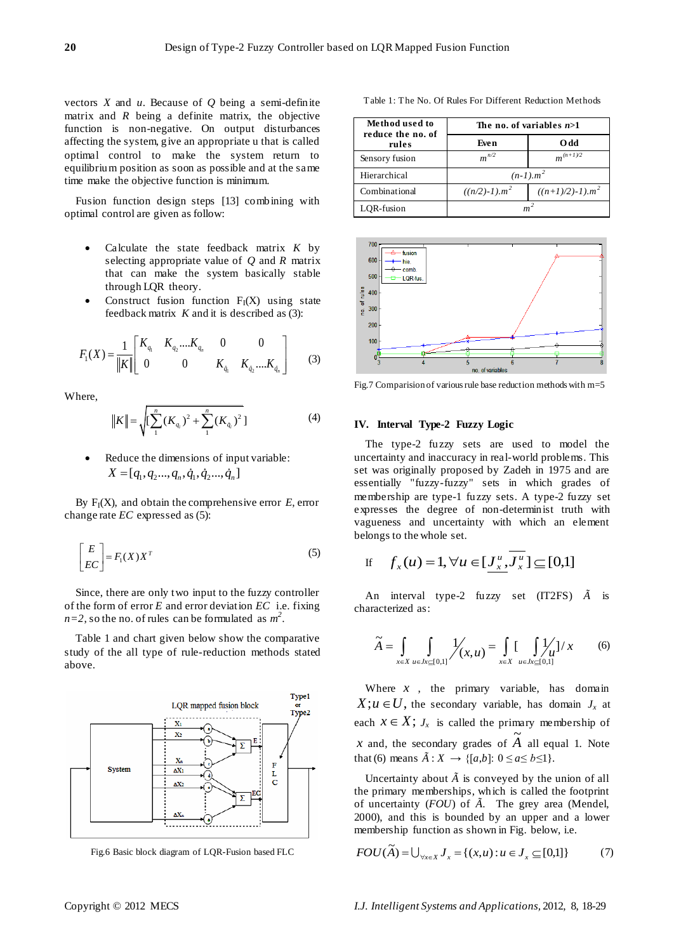vectors *X* and *u*. Because of *Q* being a semi-definite matrix and  $R$  being a definite matrix, the objective function is non-negative. On output disturbances affecting the system, give an appropriate u that is called optimal control to make the system return to equilibrium position as soon as possible and at the same time make the objective function is minimum.

Fusion function design steps [13] combining with optimal control are given as follow:

- Calculate the state feedback matrix *K* by selecting appropriate value of *Q* and *R* matrix that can make the system basically stable through LQR theory.
- Construct fusion function  $F_I(X)$  using state feedback matrix *K* and it is described as (3):

$$
F_1(X) = \frac{1}{\|K\|} \begin{bmatrix} K_{q_1} & K_{q_2} \dots K_{q_n} & 0 & 0 \\ 0 & 0 & K_{\dot{q}_1} & K_{\dot{q}_2} \dots K_{\dot{q}_n} \end{bmatrix}
$$
 (3)

Where,

$$
||K|| = \sqrt{\left[\sum_{1}^{n} (K_{q_i})^2 + \sum_{1}^{n} (K_{\dot{q}_i})^2\right]}
$$
 (4)

 Reduce the dimensions of input variable: Equation is the different part of the  $X = [q_1, q_2, ..., q_n, \dot{q}_1, \dot{q}_2, ..., \dot{q}_n]$ 

By  $F_I(X)$ , and obtain the comprehensive error  $E$ , error change rate *EC* expressed as (5):

$$
\begin{bmatrix} E \\ EC \end{bmatrix} = F_1(X)X^T \tag{5}
$$

Since, there are only two input to the fuzzy controller of the form of error *E* and error deviation *EC* i.e. fixing  $n=2$ , so the no. of rules can be formulated as  $m^2$ .

Table 1 and chart given below show the comparative study of the all type of rule-reduction methods stated above.



Fig.6 Basic block diagram of LQR-Fusion based FLC

**Method used to reduce the no. of rules The no. of variables** *n***>1 Even O dd**

Table 1: The No. Of Rules For Different Reduction Methods





Fig.7 Comparision of various rule base reduction methods with m=5

## **IV. Interval Type-2 Fuzzy Logic**

The type-2 fuzzy sets are used to model the uncertainty and inaccuracy in real-world problems. This set was originally proposed by Zadeh in 1975 and are essentially "fuzzy-fuzzy" sets in which grades of membership are type-1 fuzzy sets. A type-2 fuzzy set expresses the degree of non-determinist truth with vagueness and uncertainty with which an element belongs to the whole set.

If 
$$
f_x(u) = 1, \forall u \in [\underline{J_x^u}, J_x^u] \subseteq [0,1]
$$

An interval type-2 fuzzy set (IT2FS) *Ã* is characterized as:

$$
\widetilde{A} = \int_{x \in X} \int_{u \in Jx \subseteq [0,1]} \frac{1}{\sqrt{x}}(x,u) = \int_{x \in X} \int_{u \in Jx \subseteq [0,1]} \frac{1}{\sqrt{u}} \frac{1}{x} \tag{6}
$$

Where  $x$ , the primary variable, has domain  $X; u \in U$ , the secondary variable, has domain  $J_x$  at each  $x \in X$ ;  $J_x$  is called the primary membership of *x* and, the secondary grades of  $\tilde{A}$  all equal 1. Note that (6) means  $\tilde{A}: X \to \{[a,b]: 0 \le a \le b \le 1\}.$ 

Uncertainty about  $\tilde{A}$  is conveyed by the union of all the primary memberships, which is called the footprint of uncertainty (*FOU*) of *Ã*. The grey area (Mendel, 2000), and this is bounded by an upper and a lower membership function as shown in Fig. below, i.e.

$$
FOU(\widetilde{A}) = \bigcup_{\forall x \in X} J_x = \{(x, u) : u \in J_x \subseteq [0,1]\}
$$
 (7)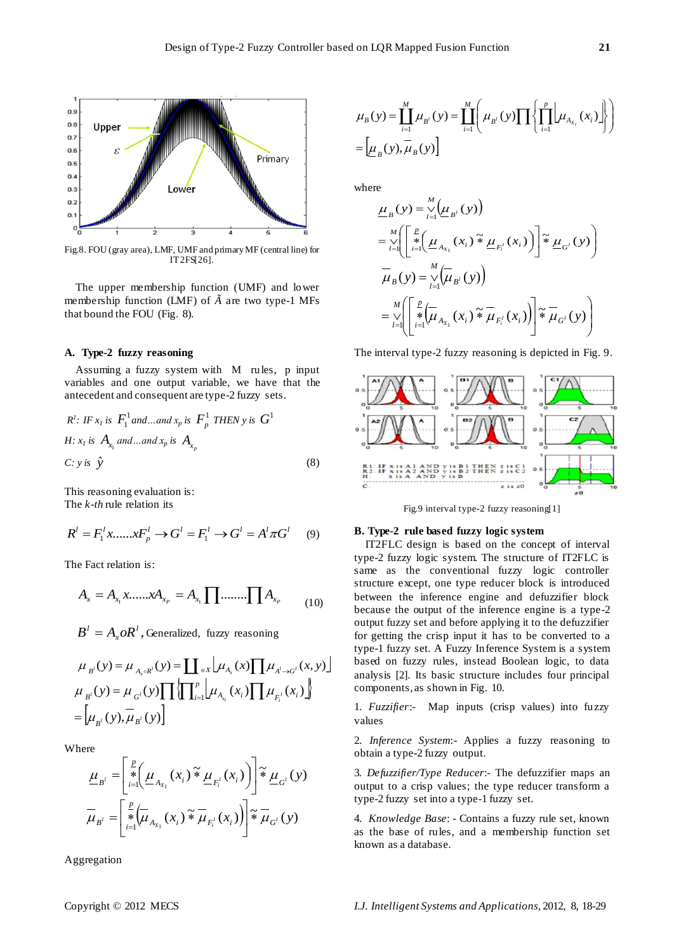

Fig.8. FOU (gray area), LMF, UMF and primary MF (central line) for IT2FS[26].

The upper membership function (UMF) and lower membership function (LMF) of *à* are two type-1 MFs that bound the FOU (Fig. 8).

## **A. Type-2 fuzzy reasoning**

Assuming a fuzzy system with M rules, p input variables and one output variable, we have that the antecedent and consequent are type-2 fuzzy sets.

$$
R^l: IF x_l \text{ is } F_1^1 \text{ and } ... \text{ and } x_p \text{ is } F_p^1 \text{ THEN } y \text{ is } G^1
$$
  
H:  $x_l \text{ is } A_{x_l} \text{ and } ... \text{ and } x_p \text{ is } A_{x_p}$   
C:  $y \text{ is } \hat{y}$  (8)

This reasoning evaluation is: The *k-th* rule relation its

$$
R^{l} = F_{1}^{l} x, \dots, x F_{p}^{l} \to G^{l} = F_{1}^{l} \to G^{l} = A^{l} \pi G^{l}
$$
 (9)

The Fact relation is:

$$
A_x = A_{x_1} x \dots x A_{x_p} = A_{x_1} \prod \dots \dots \prod A_{x_p} \tag{10}
$$

, *l*  $B^l = A_x o R^l$ , Generalized, fuzzy reasoning

$$
\mu_{B'}(y) = \mu_{A_x \circ R'}(y) = \coprod_{\in X} \mu_{A_x}(x) \prod \mu_{A' \to G'}(x, y)
$$
\n
$$
\mu_{B'}(y) = \mu_{G'}(y) \prod \left\{ \prod_{i=1}^p \mu_{A_{x_i}}(x_i) \prod \mu_{F_i'}(x_i) \right\}
$$
\n
$$
= \left[ \mu_{B'}(y), \mu_{B'}(y) \right]
$$

Where

$$
\underline{\mu}_{B'} = \left[ \sum_{i=1}^{P} \left( \underline{\mu}_{A_{X_1}}(x_i) \tilde{\ast} \underline{\mu}_{F_i^l}(x_i) \right) \right] \tilde{\ast} \underline{\mu}_{G^l}(y)
$$
\n
$$
\overline{\mu}_{B'} = \left[ \sum_{i=1}^{P} \left( \overline{\mu}_{A_{X_1}}(x_i) \tilde{\ast} \overline{\mu}_{F_i^l}(x_i) \right) \right] \tilde{\ast} \overline{\mu}_{G^l}(y)
$$

Aggregation

$$
\mu_{B}(y) = \prod_{i=1}^{M} \mu_{B^{i}}(y) = \prod_{i=1}^{M} \left( \mu_{B^{i}}(y) \prod \left\{ \prod_{i=1}^{p} \left[ \mu_{A_{X_{i}}}(x_{i}) \right] \right\} \right)
$$

$$
= \left[ \mu_{B}(y), \mu_{B}(y) \right]
$$

where

$$
\underline{\mu}_{B}(y) = \sum_{i=1}^{M} (\underline{\mu}_{B^{i}}(y))
$$
\n
$$
= \sum_{i=1}^{M} \left( \sum_{i=1}^{R} (\underline{\mu}_{A_{x_{1}}} (x_{i}) \tilde{\ast} \underline{\mu}_{F_{i}^{i}} (x_{i})) \right) \tilde{\ast} \underline{\mu}_{G^{i}}(y) \right)
$$
\n
$$
\overline{\mu}_{B}(y) = \sum_{i=1}^{M} (\overline{\mu}_{B^{i}}(y))
$$
\n
$$
= \sum_{i=1}^{M} \left( \sum_{i=1}^{R} (\overline{\mu}_{A_{x_{1}}} (x_{i}) \tilde{\ast} \overline{\mu}_{F_{i}^{i}} (x_{i})) \right) \tilde{\ast} \overline{\mu}_{G^{i}}(y) \right)
$$

The interval type-2 fuzzy reasoning is depicted in Fig. 9.



Fig.9 interval type-2 fuzzy reasoning[1]

## **B. Type-2 rule based fuzzy logic system**

IT2FLC design is based on the concept of interval type-2 fuzzy logic system. The structure of IT2FLC is same as the conventional fuzzy logic controller structure except, one type reducer block is introduced between the inference engine and defuzzifier block because the output of the inference engine is a type-2 output fuzzy set and before applying it to the defuzzifier for getting the crisp input it has to be converted to a type-1 fuzzy set. A Fuzzy Inference System is a system based on fuzzy rules, instead Boolean logic, to data analysis [2]. Its basic structure includes four principal components, as shown in Fig. 10.

1. *Fuzzifier*:- Map inputs (crisp values) into fuzzy values

2. *Inference System*:- Applies a fuzzy reasoning to obtain a type-2 fuzzy output.

3*. Defuzzifier/Type Reducer*:- The defuzzifier maps an output to a crisp values; the type reducer transform a type-2 fuzzy set into a type-1 fuzzy set.

4. *Knowledge Base*: - Contains a fuzzy rule set, known as the base of rules, and a membership function set known as a database.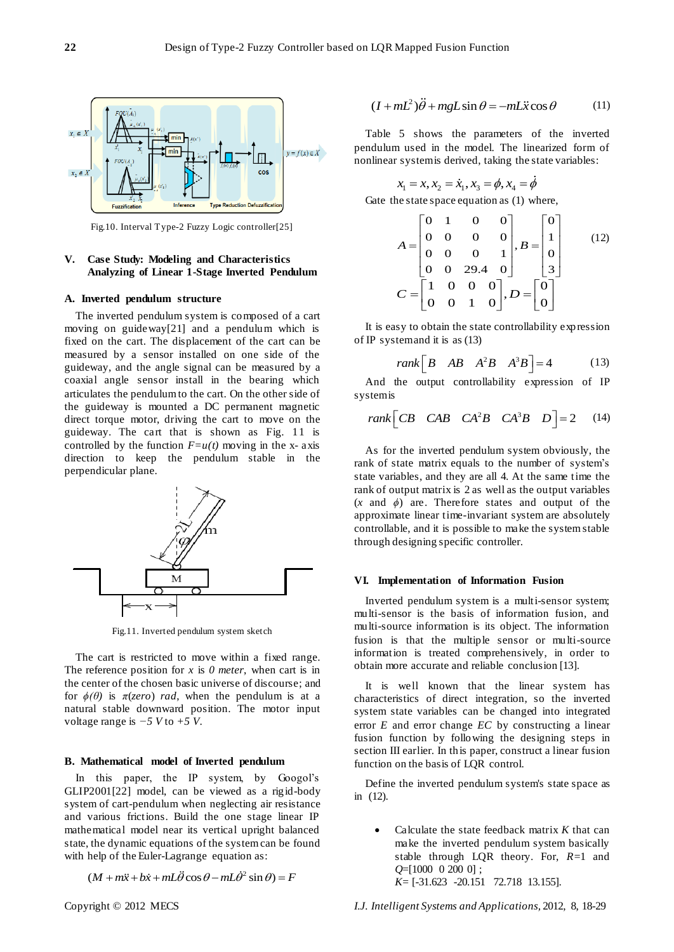

Fig.10. Interval Type-2 Fuzzy Logic controller[25]

## **V. Case Study: Modeling and Characteristics Analyzing of Linear 1-Stage Inverted Pendulum**

## **A. Inverted pendulum structure**

The inverted pendulum system is composed of a cart moving on guideway[21] and a pendulum which is fixed on the cart. The displacement of the cart can be measured by a sensor installed on one side of the guideway, and the angle signal can be measured by a coaxial angle sensor install in the bearing which articulates the pendulum to the cart. On the other side of the guideway is mounted a DC permanent magnetic direct torque motor, driving the cart to move on the guideway. The cart that is shown as Fig. 11 is controlled by the function  $F=u(t)$  moving in the x- axis direction to keep the pendulum stable in the perpendicular plane.



Fig.11. Inverted pendulum system sketch

The cart is restricted to move within a fixed range. The reference position for *x* is *0 meter*, when cart is in the center of the chosen basic universe of discourse; and for  $\phi(\theta)$  is  $\pi(zero)$  *rad*, when the pendulum is at a natural stable downward position. The motor input voltage range is *−5 V* to *+5 V*.

## **B. Mathematical model of Inverted pendulum**

In this paper, the IP system, by Googol's GLIP2001[22] model, can be viewed as a rigid-body system of cart-pendulum when neglecting air resistance and various frictions. Build the one stage linear IP mathematical model near its vertical upright balanced state, the dynamic equations of the system can be found with help of the Euler-Lagrange equation as:<br>  $(M + m\ddot{x} + b\dot{x} + mL\ddot{\theta}\cos\theta - mL\dot{\theta}^2\sin\theta) = F$ 

$$
(M + m\ddot{x} + b\dot{x} + mL\ddot{\theta}\cos\theta - mL\dot{\theta}^2\sin\theta) = F
$$

$$
(I + mL^2)\ddot{\theta} + mgL\sin\theta = -mL\ddot{x}\cos\theta
$$
 (11)

Table 5 shows the parameters of the inverted pendulum used in the model. The linearized form of nonlinear system is derived, taking the state variables:

$$
x_1 = x, x_2 = \dot{x}_1, x_3 = \phi, x_4 = \dot{\phi}
$$

Gate the state space equation as (1) where,  
\n
$$
A = \begin{bmatrix} 0 & 1 & 0 & 0 \\ 0 & 0 & 0 & 0 \\ 0 & 0 & 0 & 1 \\ 0 & 0 & 29.4 & 0 \end{bmatrix}, B = \begin{bmatrix} 0 \\ 1 \\ 0 \\ 3 \end{bmatrix}
$$
\n(12)  
\n
$$
C = \begin{bmatrix} 1 & 0 & 0 & 0 \\ 0 & 0 & 1 & 0 \end{bmatrix}, D = \begin{bmatrix} 0 \\ 0 \\ 0 \end{bmatrix}
$$

It is easy to obtain the state controllability expression of IP system and it is as (13)

rank 
$$
\begin{bmatrix} B & AB & A^2B & A^3B \end{bmatrix}
$$
 = 4 (13)

And the output controllability expression of IP system is

$$
rank \begin{bmatrix} CB & CAB & CA^2B & CA^3B & D \end{bmatrix} = 2 \quad (14)
$$

As for the inverted pendulum system obviously, the rank of state matrix equals to the number of system's state variables, and they are all 4. At the same time the rank of output matrix is 2 as well as the output variables (*x* and *ϕ*) are. Therefore states and output of the approximate linear time-invariant system are absolutely controllable, and it is possible to make the system stable through designing specific controller.

## **VI. Implementation of Information Fusion**

Inverted pendulum system is a multi-sensor system; multi-sensor is the basis of information fusion, and multi-source information is its object. The information fusion is that the multiple sensor or multi-source information is treated comprehensively, in order to obtain more accurate and reliable conclusion [13].

It is well known that the linear system has characteristics of direct integration, so the inverted system state variables can be changed into integrated error *E* and error change *EC* by constructing a linear fusion function by following the designing steps in section III earlier. In this paper, construct a linear fusion function on the basis of LQR control.

Define the inverted pendulum system's state space as in (12).

 Calculate the state feedback matrix *K* that can make the inverted pendulum system basically stable through LQR theory. For, *R*=1 and *Q*=[1000 0 200 0] ; *K*= [-31.623 -20.151 72.718 13.155].

Copyright © 2012 MECS *I.J. Intelligent Systems and Applications,* 2012, 8, 18-29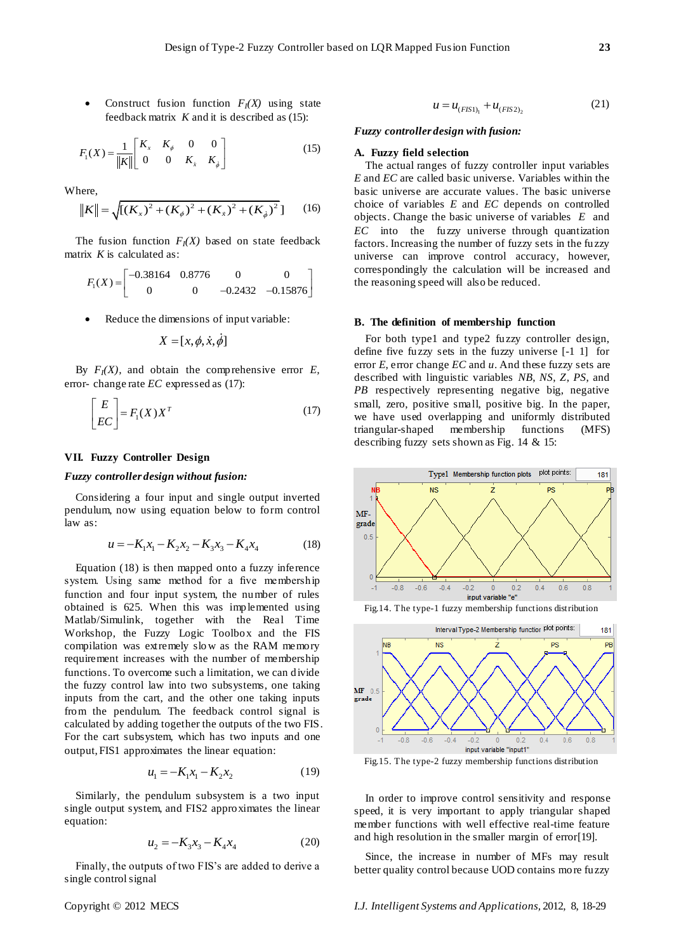• Construct fusion function  $F_I(X)$  using state feedback matrix *K* and it is described as (15):

$$
F_1(X) = \frac{1}{\|K\|} \begin{bmatrix} K_x & K_{\phi} & 0 & 0 \\ 0 & 0 & K_x & K_{\phi} \end{bmatrix}
$$
 (15)

Where,

here,  

$$
||K|| = \sqrt{[(K_x)^2 + (K_{\phi})^2 + (K_{\dot{x}})^2 + (K_{\dot{\phi}})^2]}
$$
 (16)

The fusion function  $F_I(X)$  based on state feedback matrix *K* is calculated as:

x K is calculated as:  
\n
$$
F_1(X) = \begin{bmatrix} -0.38164 & 0.8776 & 0 & 0 \\ 0 & 0 & -0.2432 & -0.15876 \end{bmatrix}
$$

Reduce the dimensions of input variable:

$$
X = [x, \phi, \dot{x}, \phi]
$$

By  $F_I(X)$ , and obtain the comprehensive error *E*, error- change rate *EC* expressed as (17):

$$
\begin{bmatrix} E \\ EC \end{bmatrix} = F_1(X)X^T \tag{17}
$$

## **VII. Fuzzy Controller Design**

## *Fuzzy controller design without fusion:*

Considering a four input and single output inverted pendulum, now using equation below to form control law as:

$$
u = -K_1 x_1 - K_2 x_2 - K_3 x_3 - K_4 x_4 \tag{18}
$$

Equation (18) is then mapped onto a fuzzy inference system. Using same method for a five membership function and four input system, the number of rules obtained is 625. When this was implemented using Matlab/Simulink, together with the Real Time Workshop, the Fuzzy Logic Toolbox and the FIS compilation was extremely slo w as the RAM memory requirement increases with the number of membership functions. To overcome such a limitation, we can divide the fuzzy control law into two subsystems, one taking inputs from the cart, and the other one taking inputs from the pendulum. The feedback control signal is calculated by adding together the outputs of the two FIS. For the cart subsystem, which has two inputs and one output, FIS1 approximates the linear equation:

$$
u_1 = -K_1 x_1 - K_2 x_2 \tag{19}
$$

Similarly, the pendulum subsystem is a two input single output system, and FIS2 approximates the linear equation:

$$
u_2 = -K_3 x_3 - K_4 x_4 \tag{20}
$$

Finally, the outputs of two FIS's are added to derive a single control signal

$$
u = u_{(FIS1)_1} + u_{(FIS2)_2}
$$
 (21)

## *Fuzzy controller design with fusion:*

## **A. Fuzzy field selection**

The actual ranges of fuzzy controller input variables *E* and *EC* are called basic universe. Variables within the basic universe are accurate values. The basic universe choice of variables *E* and *EC* depends on controlled objects. Change the basic universe of variables *E* and *EC* into the fuzzy universe through quantization factors. Increasing the number of fuzzy sets in the fuzzy universe can improve control accuracy, however, correspondingly the calculation will be increased and the reasoning speed will also be reduced.

#### **B. The definition of membership function**

For both type1 and type2 fuzzy controller design, define five fuzzy sets in the fuzzy universe [-1 1] for error *E*, error change *EC* and *u*. And these fuzzy sets are described with linguistic variables *NB*, *NS*, *Z*, *PS*, and *PB* respectively representing negative big, negative small, zero, positive small, positive big. In the paper, we have used overlapping and uniformly distributed triangular-shaped membership functions (MFS) describing fuzzy sets shown as Fig. 14 & 15:







Fig.15. The type-2 fuzzy membership functions distribution

In order to improve control sensitivity and response speed, it is very important to apply triangular shaped member functions with well effective real-time feature and high resolution in the smaller margin of error[19].

Since, the increase in number of MFs may result better quality control because UOD contains more fuzzy

Copyright © 2012 MECS *I.J. Intelligent Systems and Applications,* 2012, 8, 18-29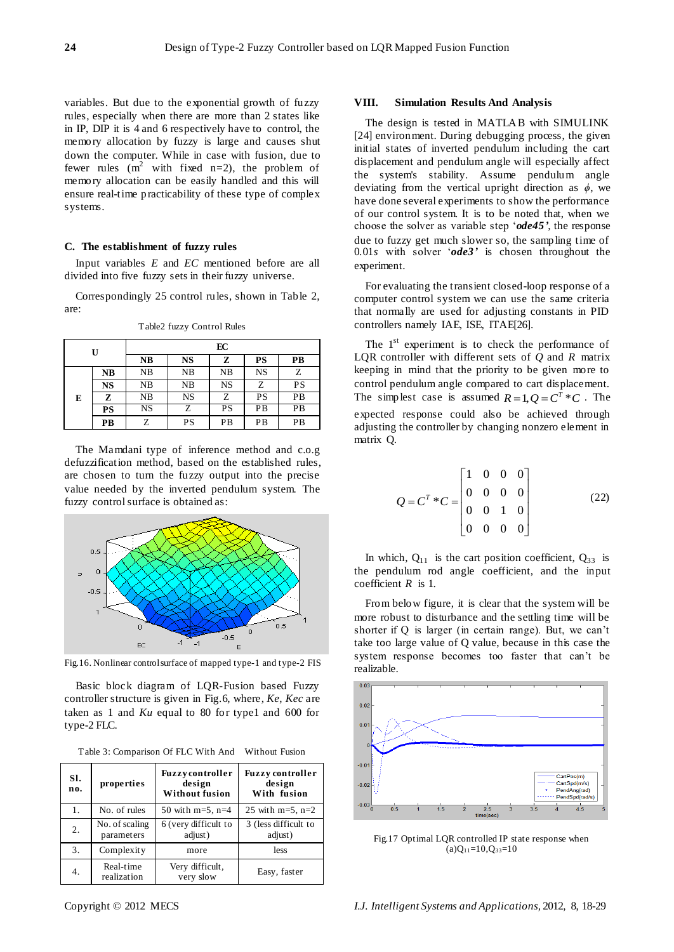variables. But due to the exponential growth of fuzzy rules, especially when there are more than 2 states like in IP, DIP it is 4 and 6 respectively have to control, the memory allocation by fuzzy is large and causes shut down the computer. While in case with fusion, due to fewer rules  $(m^2$  with fixed n=2), the problem of memory allocation can be easily handled and this will ensure real-time practicability of these type of complex systems.

## **C. The establishment of fuzzy rules**

Input variables *E* and *EC* mentioned before are all divided into five fuzzy sets in their fuzzy universe.

Correspondingly 25 control rules, shown in Table 2, are:

| U |           | EC |           |           |           |    |  |  |
|---|-----------|----|-----------|-----------|-----------|----|--|--|
|   |           | NB | NS        | z         | PS        | PВ |  |  |
| E | <b>NB</b> | NB | NB        | NB        | <b>NS</b> | Z  |  |  |
|   | <b>NS</b> | NB | NB        | <b>NS</b> | Z         | PS |  |  |
|   | z         | NB | <b>NS</b> | Ζ         | PS        | PB |  |  |
|   | PS        | NS | Z         | PS        | PВ        | PB |  |  |
|   | PB        | Z  | PS        | PВ        | PB        | PB |  |  |

Table2 fuzzy Control Rules

The Mamdani type of inference method and c.o.g defuzzification method, based on the established rules, are chosen to turn the fuzzy output into the precise value needed by the inverted pendulum system. The fuzzy control surface is obtained as:



Fig.16. Nonlinear control surface of mapped type-1 and type-2 FIS

Basic block diagram of LQR-Fusion based Fuzzy controller structure is given in Fig.6, where, *Ke*, *Kec* are taken as 1 and *Ku* equal to 80 for type1 and 600 for type-2 FLC.

| Table 3: Comparison Of FLC With And Without Fusion |  |
|----------------------------------------------------|--|
|----------------------------------------------------|--|

| SI.<br>no. | properties                   | <b>Fuzzy</b> controller<br>design<br><b>Without fusion</b> | <b>Fuzzy controller</b><br>design<br>With fusion |  |  |
|------------|------------------------------|------------------------------------------------------------|--------------------------------------------------|--|--|
| 1.         | No. of rules                 | 50 with $m=5$ , $n=4$                                      | 25 with $m=5$ , $n=2$                            |  |  |
| 2.         | No. of scaling<br>parameters | 6 (very difficult to<br>adjust)                            | 3 (less difficult to<br>adjust)                  |  |  |
| 3.         | Complexity                   | more                                                       | less                                             |  |  |
| 4.         | Real-time<br>realization     | Very difficult,<br>very slow                               | Easy, faster                                     |  |  |

#### **VIII. Simulation Results And Analysis**

The design is tested in MATLAB with SIMULINK [24] environment. During debugging process, the given initial states of inverted pendulum including the cart displacement and pendulum angle will especially affect the system's stability. Assume pendulum angle deviating from the vertical upright direction as *ϕ*, we have done several experiments to show the performance of our control system. It is to be noted that, when we choose the solver as variable step 'ode45', the response due to fuzzy get much slower so, the sampling time of 0.01*s* with solver ‗*ode3'* is chosen throughout the experiment.

For evaluating the transient closed-loop response of a computer control system we can use the same criteria that normally are used for adjusting constants in PID controllers namely IAE, ISE, ITAE[26].

The  $1<sup>st</sup>$  experiment is to check the performance of LQR controller with different sets of *Q* and *R* matrix keeping in mind that the priority to be given more to control pendulum angle compared to cart displacement. The simplest case is assumed  $R=1, Q=C^T*C$ . The expected response could also be achieved through adjusting the controller by changing nonzero element in matrix Q.

$$
Q = C^{T} * C = \begin{bmatrix} 1 & 0 & 0 & 0 \\ 0 & 0 & 0 & 0 \\ 0 & 0 & 1 & 0 \\ 0 & 0 & 0 & 0 \end{bmatrix}
$$
 (22)

In which,  $Q_{11}$  is the cart position coefficient,  $Q_{33}$  is the pendulum rod angle coefficient, and the input coefficient *R* is 1.

From below figure, it is clear that the system will be more robust to disturbance and the settling time will be shorter if Q is larger (in certain range). But, we can't take too large value of Q value, because in this case the system response becomes too faster that can't be realizable.



Fig.17 Optimal LQR controlled IP state response when  $(a)Q_{11}=10,Q_{33}=10$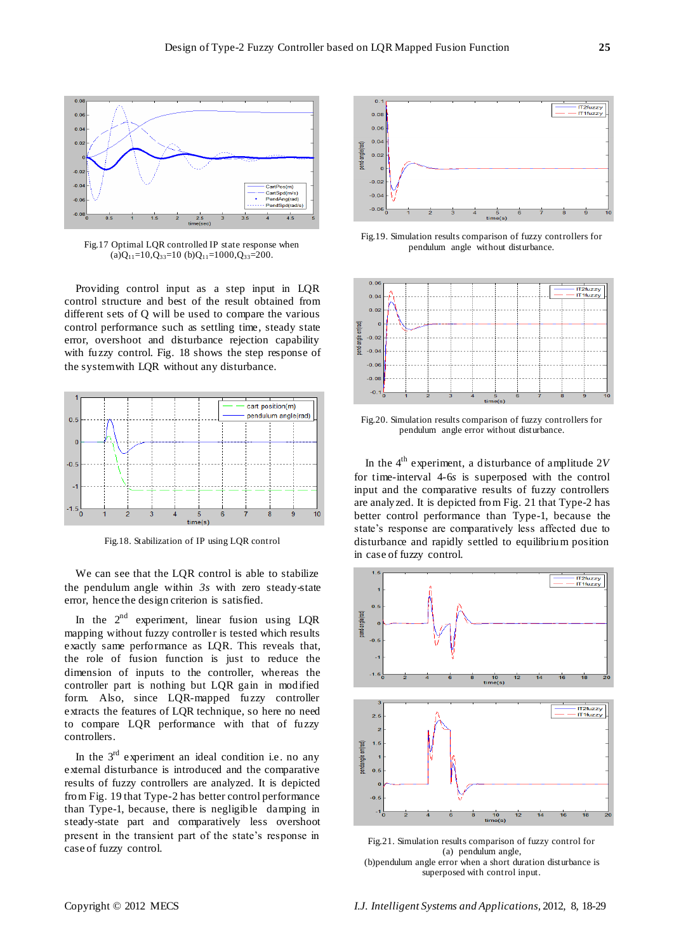

Fig.17 Optimal LQR controlled IP state response when  $(a)Q_{11}=10,Q_{33}=10$  (b) $Q_{11}=1000,Q_{33}=200$ .

Providing control input as a step input in LQR control structure and best of the result obtained from different sets of Q will be used to compare the various control performance such as settling time, steady state error, overshoot and disturbance rejection capability with fuzzy control. Fig. 18 shows the step response of the system with LQR without any disturbance.



Fig.18. Stabilization of IP using LQR control

We can see that the LQR control is able to stabilize the pendulum angle within *3s* with zero steady-state error, hence the design criterion is satisfied.

In the  $2^{nd}$  experiment, linear fusion using LQR mapping without fuzzy controller is tested which results exactly same performance as LQR. This reveals that, the role of fusion function is just to reduce the dimension of inputs to the controller, whereas the controller part is nothing but LQR gain in modified form. Also, since LQR-mapped fuzzy controller extracts the features of LQR technique, so here no need to compare LQR performance with that of fuzzy controllers.

In the  $3<sup>rd</sup>$  experiment an ideal condition i.e. no any external disturbance is introduced and the comparative results of fuzzy controllers are analyzed. It is depicted from Fig. 19 that Type-2 has better control performance than Type-1, because, there is negligible damping in steady-state part and comparatively less overshoot present in the transient part of the state's response in case of fuzzy control.



Fig.19. Simulation results comparison of fuzzy controllers for pendulum angle without disturbance.



Fig.20. Simulation results comparison of fuzzy controllers for pendulum angle error without disturbance.

In the  $4<sup>th</sup>$  experiment, a disturbance of amplitude 2*V* for time-interval 4-6*s* is superposed with the control input and the comparative results of fuzzy controllers are analyzed. It is depicted from Fig. 21 that Type-2 has better control performance than Type-1, because the state's response are comparatively less affected due to disturbance and rapidly settled to equilibrium position in case of fuzzy control.



Fig.21. Simulation results comparison of fuzzy control for (a) pendulum angle, (b)pendulum angle error when a short duration disturbance is superposed with control input.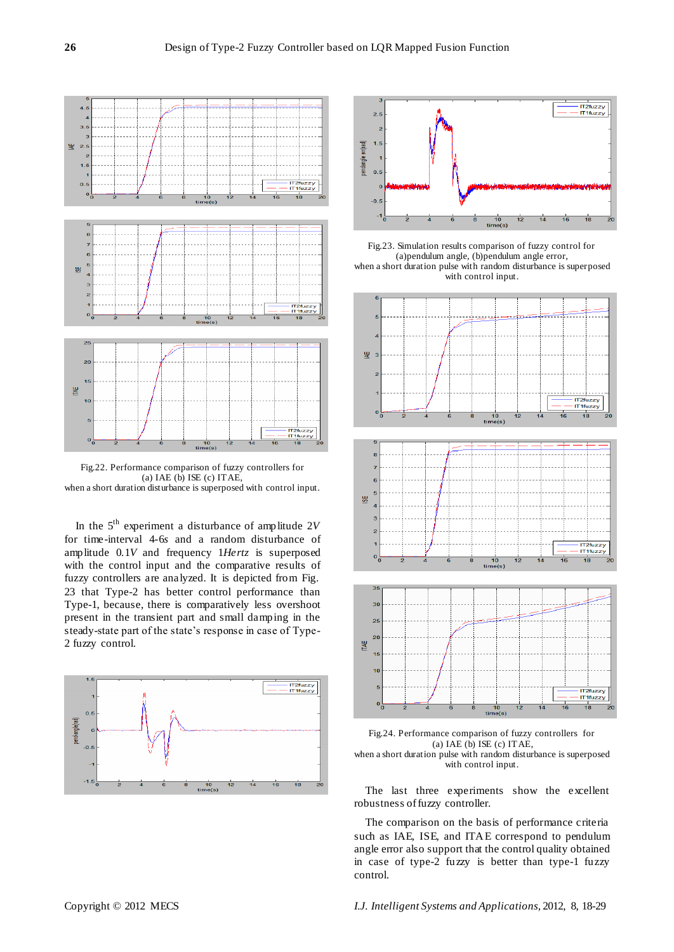

Fig.22. Performance comparison of fuzzy controllers for (a) IAE (b) ISE (c) ITAE, when a short duration disturbance is superposed with control input.

In the 5th experiment a disturbance of amplitude 2*V* for time-interval 4-6*s* and a random disturbance of amplitude 0.1*V* and frequency 1*Hertz* is superposed with the control input and the comparative results of fuzzy controllers are analyzed. It is depicted from Fig. 23 that Type-2 has better control performance than Type-1, because, there is comparatively less overshoot present in the transient part and small damping in the steady-state part of the state's response in case of Type-2 fuzzy control.





Fig.23. Simulation results comparison of fuzzy control for (a)pendulum angle, (b)pendulum angle error, when a short duration pulse with random disturbance is superposed with control input.





The last three experiments show the excellent robustness of fuzzy controller.

The comparison on the basis of performance criteria such as IAE, ISE, and ITAE correspond to pendulum angle error also support that the control quality obtained in case of type-2 fuzzy is better than type-1 fuzzy control.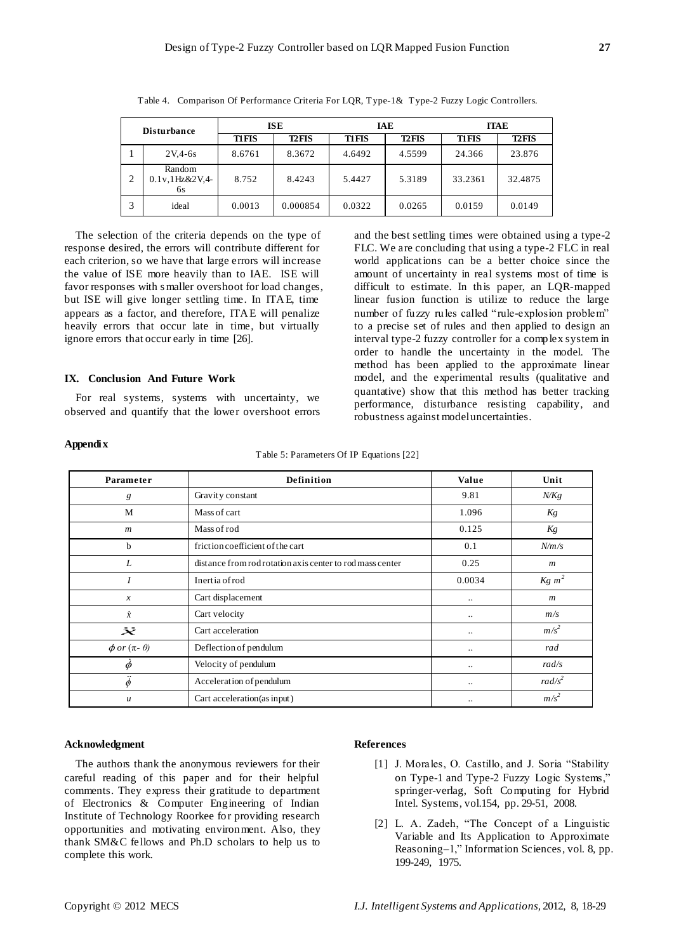| <b>Disturbance</b> |                                       | <b>ISE</b>   |              | IAE          |              | <b>ITAE</b>  |              |
|--------------------|---------------------------------------|--------------|--------------|--------------|--------------|--------------|--------------|
|                    |                                       | <b>TIFIS</b> | <b>T2FIS</b> | <b>TIFIS</b> | <b>T2FIS</b> | <b>TIFIS</b> | <b>T2FIS</b> |
|                    | $2V.4-6s$                             | 8.6761       | 8.3672       | 4.6492       | 4.5599       | 24.366       | 23.876       |
| າ                  | Random<br>$0.1v,1$ Hz& $2V,4$ -<br>6s | 8.752        | 8.4243       | 5.4427       | 5.3189       | 33.2361      | 32.4875      |
| 3                  | ideal                                 | 0.0013       | 0.000854     | 0.0322       | 0.0265       | 0.0159       | 0.0149       |

Table 4. Comparison Of Performance Criteria For LQR, Type-1& Type-2 Fuzzy Logic Controllers.

The selection of the criteria depends on the type of response desired, the errors will contribute different for each criterion, so we have that large errors will increase the value of ISE more heavily than to IAE. ISE will favor responses with s maller overshoot for load changes, but ISE will give longer settling time. In ITAE, time appears as a factor, and therefore, ITAE will penalize heavily errors that occur late in time, but virtually ignore errors that occur early in time [26].

## **IX. Conclusion And Future Work**

For real systems, systems with uncertainty, we observed and quantify that the lower overshoot errors

and the best settling times were obtained using a type-2 FLC. We are concluding that using a type-2 FLC in real world applications can be a better choice since the amount of uncertainty in real systems most of time is difficult to estimate. In this paper, an LQR-mapped linear fusion function is utilize to reduce the large number of fuzzy rules called "rule-explosion problem" to a precise set of rules and then applied to design an interval type-2 fuzzy controller for a complex system in order to handle the uncertainty in the model. The method has been applied to the approximate linear model, and the experimental results (qualitative and quantative) show that this method has better tracking performance, disturbance resisting capability, and robustness against model uncertainties.

## **Appendix**

Table 5: Parameters Of IP Equations [22]

| Parameter                  | <b>Definition</b>                                         |           | Unit               |
|----------------------------|-----------------------------------------------------------|-----------|--------------------|
| g                          | Gravity constant                                          | 9.81      | N/Kg               |
| M                          | Mass of cart                                              | 1.096     | Kg                 |
| $\boldsymbol{m}$           | Mass of rod                                               | 0.125     | Kg                 |
| b                          | friction coefficient of the cart                          | 0.1       | N/m/s              |
| L                          | distance from rod rotation axis center to rod mass center | 0.25      | $\boldsymbol{m}$   |
|                            | Inertia of rod                                            | 0.0034    | $Kg \; m^2$        |
| $\boldsymbol{x}$           | Cart displacement                                         | $\cdot$ . | $\boldsymbol{m}$   |
| $\dot{x}$                  | Cart velocity                                             | $\cdot$ . | m/s                |
| $\ddot{\boldsymbol{x}}$    | Cart acceleration                                         |           | $m/s^2$            |
| $\phi$ or $(\pi - \theta)$ | Deflection of pendulum                                    | $\cdot$ . | rad                |
| $\phi$                     | Velocity of pendulum                                      | $\cdot$ . | rad/s              |
| $\ddot{\phi}$              | Acceleration of pendulum                                  |           | rad/s <sup>2</sup> |
| $\mathcal{U}$              | Cart acceleration (as input)                              | $\cdot$ . | $m/s^2$            |

#### **Acknowledgment**

The authors thank the anonymous reviewers for their careful reading of this paper and for their helpful comments. They express their gratitude to department of Electronics & Computer Engineering of Indian Institute of Technology Roorkee for providing research opportunities and motivating environment. Also, they thank SM&C fellows and Ph.D scholars to help us to complete this work.

#### **References**

- [1] J. Morales, O. Castillo, and J. Soria "Stability" on Type-1 and Type-2 Fuzzy Logic Systems," springer-verlag, Soft Computing for Hybrid Intel. Systems, vol.154, pp. 29-51, 2008.
- [2] L. A. Zadeh, "The Concept of a Linguistic Variable and Its Application to Approximate Reasoning–1," Information Sciences, vol. 8, pp. 199-249, 1975.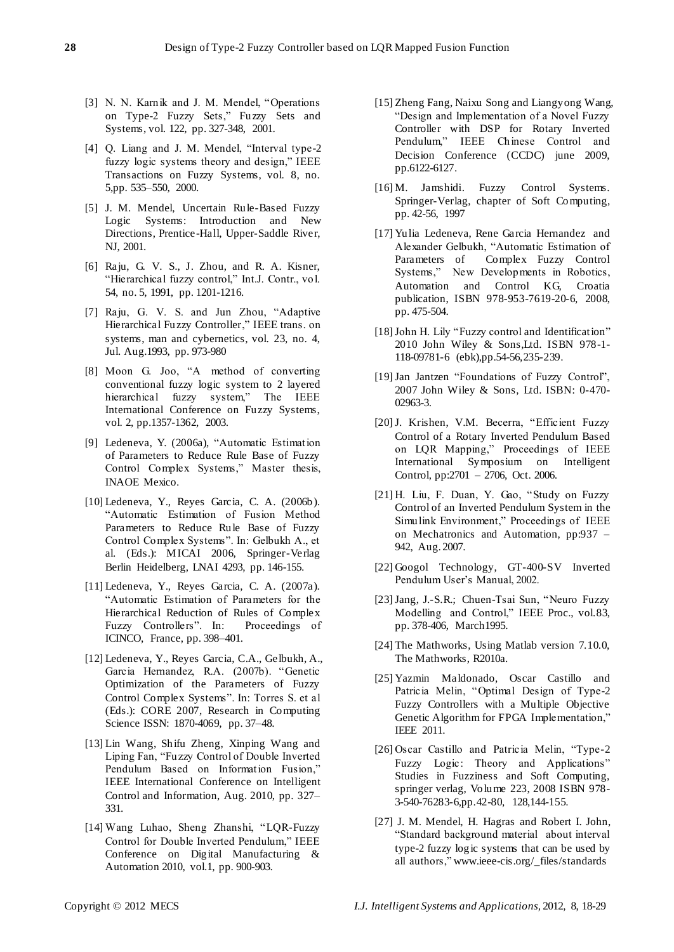- [3] N. N. Karnik and J. M. Mendel, "Operations on Type-2 Fuzzy Sets," Fuzzy Sets and Systems, vol. 122, pp. 327-348, 2001.
- [4] Q. Liang and J. M. Mendel, "Interval type-2 fuzzy logic systems theory and design," IEEE Transactions on Fuzzy Systems, vol. 8, no. 5,pp. 535–550, 2000.
- [5] J. M. Mendel, Uncertain Rule-Based Fuzzy Logic Systems: Introduction and New Directions, Prentice -Hall, Upper-Saddle River, NJ, 2001.
- [6] Raju, G. V. S., J. Zhou, and R. A. Kisner, "Hierarchical fuzzy control," Int.J. Contr., vol. 54, no. 5, 1991, pp. 1201-1216.
- [7] Raju, G. V. S. and Jun Zhou, "Adaptive Hierarchical Fuzzy Controller," IEEE trans. on systems, man and cybernetics, vol. 23, no. 4, Jul. Aug.1993, pp. 973-980
- [8] Moon G. Joo, "A method of converting conventional fuzzy logic system to 2 layered hierarchical fuzzy system," The IEEE International Conference on Fuzzy Systems, vol. 2, pp.1357-1362, 2003.
- [9] Ledeneva, Y. (2006a), "Automatic Estimation of Parameters to Reduce Rule Base of Fuzzy Control Complex Systems," Master thesis, INAOE Mexico.
- [10] Ledeneva, Y., Reyes Garcia, C. A. (2006b). ―Automatic Estimation of Fusion Method Parameters to Reduce Rule Base of Fuzzy Control Complex Systems". In: Gelbukh A., et al. (Eds.): MICAI 2006, Springer-Verlag Berlin Heidelberg, LNAI 4293, pp. 146-155.
- [11] Ledeneva, Y., Reyes Garcia, C. A. (2007a). ―Automatic Estimation of Parameters for the Hierarchical Reduction of Rules of Complex Fuzzy Controllers". In: Proceedings of ICINCO, France, pp. 398–401.
- [12] Ledeneva, Y., Reyes Garcia, C.A., Gelbukh, A., Garcia Hernandez, R.A. (2007b). "Genetic Optimization of the Parameters of Fuzzy Control Complex Systems". In: Torres S. et al. (Eds.): CORE 2007, Research in Computing Science ISSN: 1870-4069, pp. 37–48.
- [13] Lin Wang, Shifu Zheng, Xinping Wang and Liping Fan, "Fuzzy Control of Double Inverted Pendulum Based on Information Fusion," IEEE International Conference on Intelligent Control and Information, Aug. 2010, pp. 327– 331.
- [14] Wang Luhao, Sheng Zhanshi, "LQR-Fuzzy Control for Double Inverted Pendulum," IEEE Conference on Digital Manufacturing & Automation 2010, vol.1, pp. 900-903.
- [15] Zheng Fang, Naixu Song and Liangyong Wang, ―Design and Implementation of a Novel Fuzzy Controller with DSP for Rotary Inverted Pendulum," IEEE Chinese Control and Decision Conference (CCDC) june 2009, pp.6122-6127.
- [16] M. Jamshidi. Fuzzy Control Systems. Springer-Verlag, chapter of Soft Computing, pp. 42-56, 1997
- [17] Yulia Ledeneva, Rene Garcia Hernandez and Alexander Gelbukh, "Automatic Estimation of Parameters of Complex Fuzzy Control Systems," New Developments in Robotics, Automation and Control KG, Croatia publication, ISBN 978-953-7619-20-6, 2008, pp. 475-504.
- [18] John H. Lily "Fuzzy control and Identification" 2010 John Wiley & Sons,Ltd. ISBN 978-1- 118-09781-6 (ebk),pp.54-56,235-239.
- [19] Jan Jantzen "Foundations of Fuzzy Control", 2007 John Wiley & Sons, Ltd. ISBN: 0-470- 02963-3.
- [20] J. Krishen, V.M. Becerra, "Efficient Fuzzy Control of a Rotary Inverted Pendulum Based on LQR Mapping," Proceedings of IEEE International Symposium on Intelligent Control, pp:2701 – 2706, Oct. 2006.
- [21] H. Liu, F. Duan, Y. Gao, "Study on Fuzzy Control of an Inverted Pendulum System in the Simulink Environment," Proceedings of IEEE on Mechatronics and Automation, pp:937 – 942, Aug. 2007.
- [22] Googol Technology, GT-400-SV Inverted Pendulum User's Manual, 2002.
- [23] Jang, J.-S.R.; Chuen-Tsai Sun, "Neuro Fuzzy Modelling and Control," IEEE Proc., vol.83, pp. 378-406, March1995.
- [24] The Mathworks, Using Matlab version 7.10.0, The Mathworks, R2010a.
- [25] Yazmin Maldonado, Oscar Castillo and Patricia Melin, "Optimal Design of Type-2 Fuzzy Controllers with a Multiple Objective Genetic Algorithm for FPGA Implementation," IEEE 2011.
- [26] Oscar Castillo and Patricia Melin, "Type-2 Fuzzy Logic: Theory and Applications" Studies in Fuzziness and Soft Computing, springer verlag, Volume 223, 2008 ISBN 978- 3-540-76283-6,pp.42-80, 128,144-155.
- [27] J. M. Mendel, H. Hagras and Robert I. John, ―Standard background material about interval type-2 fuzzy logic systems that can be used by all authors," www.ieee-cis.org/\_files/standards